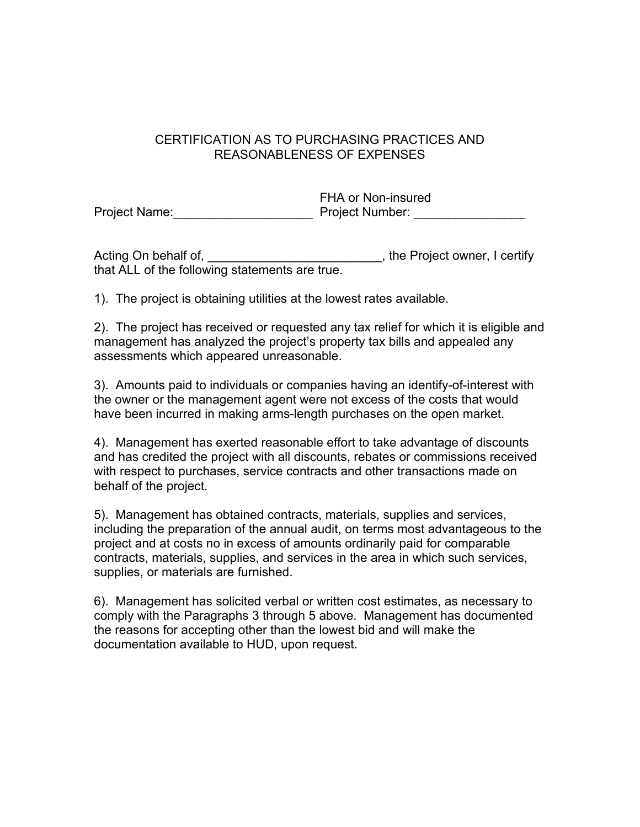## CERTIFICATION AS TO PURCHASING PRACTICES AND REASONABLENESS OF EXPENSES

|               | FHA or Non-insured     |
|---------------|------------------------|
| Project Name: | <b>Project Number:</b> |

Acting On behalf of, \_\_\_\_\_\_\_\_\_\_\_\_\_\_\_\_\_\_\_\_\_\_\_\_\_\_, the Project owner, I certify that ALL of the following statements are true.

1). The project is obtaining utilities at the lowest rates available.

2). The project has received or requested any tax relief for which it is eligible and management has analyzed the project's property tax bills and appealed any assessments which appeared unreasonable.

3). Amounts paid to individuals or companies having an identify-of-interest with the owner or the management agent were not excess of the costs that would have been incurred in making arms-length purchases on the open market.

4). Management has exerted reasonable effort to take advantage of discounts and has credited the project with all discounts, rebates or commissions received with respect to purchases, service contracts and other transactions made on behalf of the project.

5). Management has obtained contracts, materials, supplies and services, including the preparation of the annual audit, on terms most advantageous to the project and at costs no in excess of amounts ordinarily paid for comparable contracts, materials, supplies, and services in the area in which such services, supplies, or materials are furnished.

6). Management has solicited verbal or written cost estimates, as necessary to comply with the Paragraphs 3 through 5 above. Management has documented the reasons for accepting other than the lowest bid and will make the documentation available to HUD, upon request.